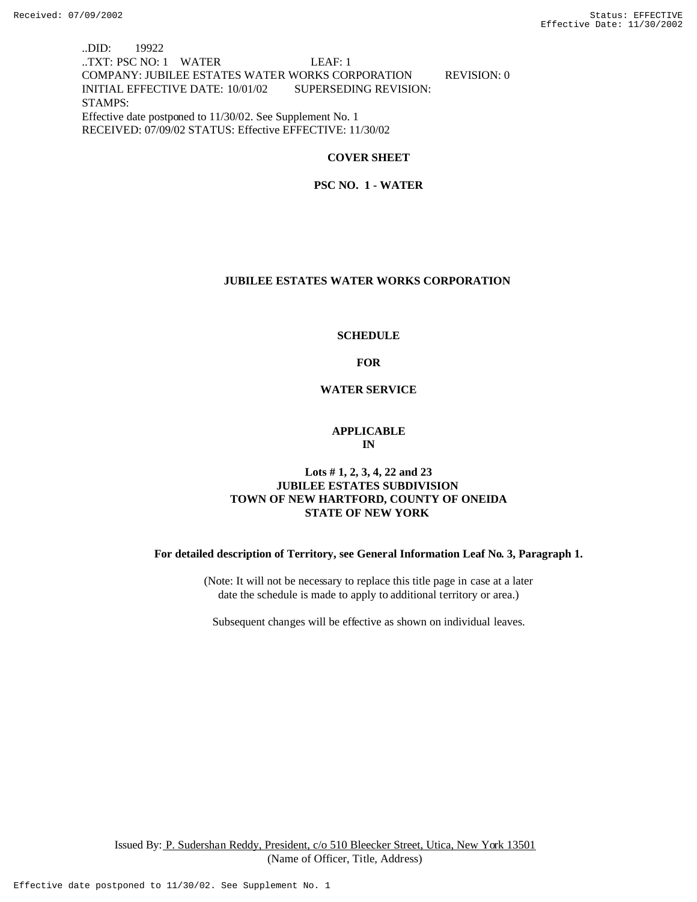..DID: 19922 ..TXT: PSC NO: 1 WATER LEAF: 1 COMPANY: JUBILEE ESTATES WATER WORKS CORPORATION REVISION: 0 INITIAL EFFECTIVE DATE: 10/01/02 SUPERSEDING REVISION: STAMPS: Effective date postponed to 11/30/02. See Supplement No. 1 RECEIVED: 07/09/02 STATUS: Effective EFFECTIVE: 11/30/02

#### **COVER SHEET**

 **PSC NO. 1 - WATER**

#### **JUBILEE ESTATES WATER WORKS CORPORATION**

#### **SCHEDULE**

**FOR**

**WATER SERVICE**

#### **APPLICABLE IN**

## **Lots # 1, 2, 3, 4, 22 and 23 JUBILEE ESTATES SUBDIVISION TOWN OF NEW HARTFORD, COUNTY OF ONEIDA STATE OF NEW YORK**

**For detailed description of Territory, see General Information Leaf No. 3, Paragraph 1.**

(Note: It will not be necessary to replace this title page in case at a later date the schedule is made to apply to additional territory or area.)

Subsequent changes will be effective as shown on individual leaves.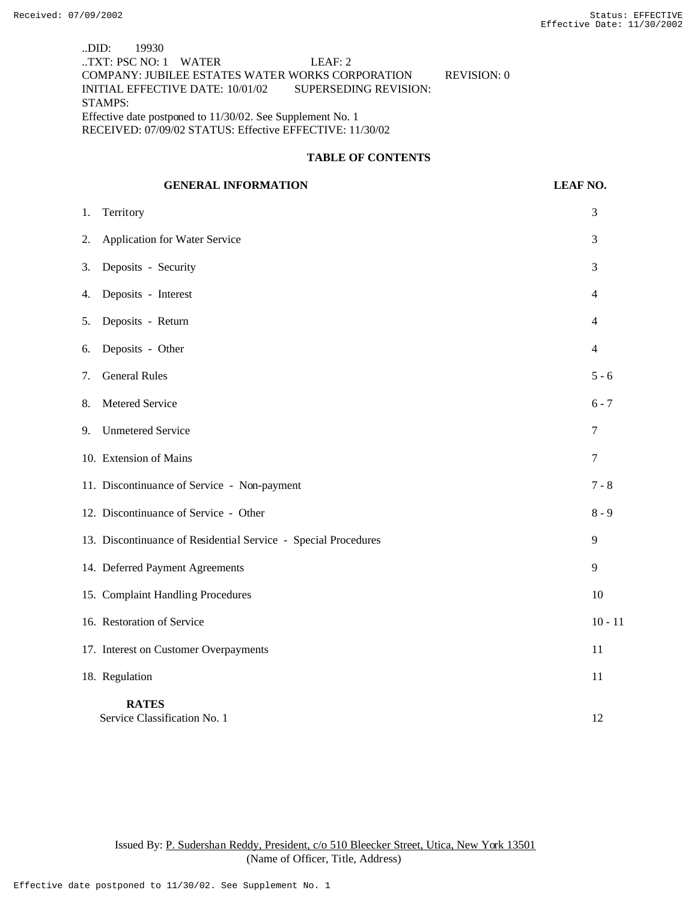..DID: 19930 ..TXT: PSC NO: 1 WATER LEAF: 2 COMPANY: JUBILEE ESTATES WATER WORKS CORPORATION REVISION: 0 INITIAL EFFECTIVE DATE: 10/01/02 SUPERSEDING REVISION: STAMPS: Effective date postponed to 11/30/02. See Supplement No. 1 RECEIVED: 07/09/02 STATUS: Effective EFFECTIVE: 11/30/02

#### **TABLE OF CONTENTS**

### **GENERAL INFORMATION LEAF NO.**

1. Territory 3 2. Application for Water Service 3 3. Deposits - Security 3 4. Deposits - Interest 4 5. Deposits - Return 4 6. Deposits - Other 4 7. General Rules 5 - 6 8. Metered Service 6 - 7 9. Unmetered Service 7 10. Extension of Mains 7 11. Discontinuance of Service - Non-payment 7 - 8 12. Discontinuance of Service - Other 8 - 9 13. Discontinuance of Residential Service - Special Procedures 9 14. Deferred Payment Agreements 9 15. Complaint Handling Procedures 10 16. Restoration of Service 10 - 11 17. Interest on Customer Overpayments 11 18. Regulation 11 **RATES** Service Classification No. 1 12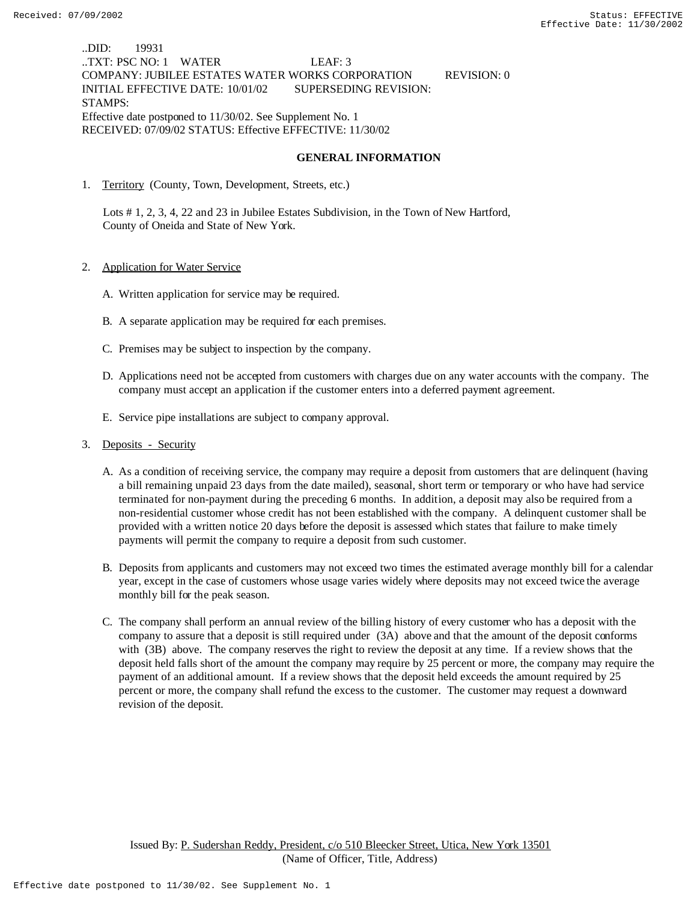..DID: 19931 ..TXT: PSC NO: 1 WATER LEAF: 3 COMPANY: JUBILEE ESTATES WATER WORKS CORPORATION REVISION: 0 INITIAL EFFECTIVE DATE: 10/01/02 SUPERSEDING REVISION: STAMPS: Effective date postponed to 11/30/02. See Supplement No. 1 RECEIVED: 07/09/02 STATUS: Effective EFFECTIVE: 11/30/02

## **GENERAL INFORMATION**

1. Territory (County, Town, Development, Streets, etc.)

 Lots # 1, 2, 3, 4, 22 and 23 in Jubilee Estates Subdivision, in the Town of New Hartford, County of Oneida and State of New York.

- 2. Application for Water Service
	- A. Written application for service may be required.
	- B. A separate application may be required for each premises.
	- C. Premises may be subject to inspection by the company.
	- D. Applications need not be accepted from customers with charges due on any water accounts with the company. The company must accept an application if the customer enters into a deferred payment agreement.
	- E. Service pipe installations are subject to company approval.
- 3. Deposits Security
	- A. As a condition of receiving service, the company may require a deposit from customers that are delinquent (having a bill remaining unpaid 23 days from the date mailed), seasonal, short term or temporary or who have had service terminated for non-payment during the preceding 6 months. In addition, a deposit may also be required from a non-residential customer whose credit has not been established with the company. A delinquent customer shall be provided with a written notice 20 days before the deposit is assessed which states that failure to make timely payments will permit the company to require a deposit from such customer.
	- B. Deposits from applicants and customers may not exceed two times the estimated average monthly bill for a calendar year, except in the case of customers whose usage varies widely where deposits may not exceed twice the average monthly bill for the peak season.
	- C. The company shall perform an annual review of the billing history of every customer who has a deposit with the company to assure that a deposit is still required under (3A) above and that the amount of the deposit conforms with (3B) above. The company reserves the right to review the deposit at any time. If a review shows that the deposit held falls short of the amount the company may require by 25 percent or more, the company may require the payment of an additional amount. If a review shows that the deposit held exceeds the amount required by 25 percent or more, the company shall refund the excess to the customer. The customer may request a downward revision of the deposit.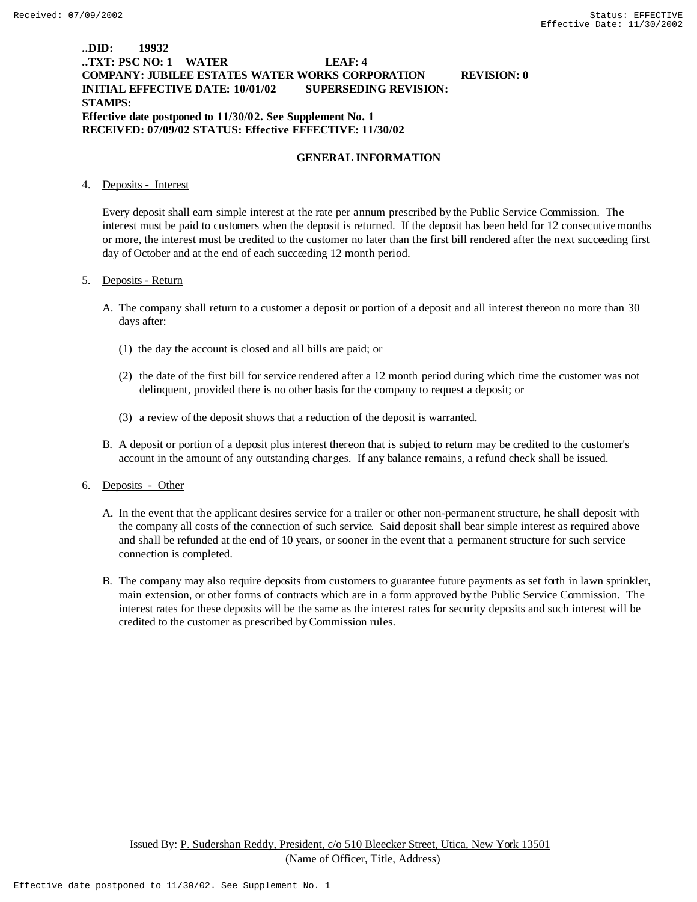## **..DID: 19932 ..TXT: PSC NO: 1 WATER LEAF: 4 COMPANY: JUBILEE ESTATES WATER WORKS CORPORATION REVISION: 0 INITIAL EFFECTIVE DATE: 10/01/02 SUPERSEDING REVISION: STAMPS: Effective date postponed to 11/30/02. See Supplement No. 1 RECEIVED: 07/09/02 STATUS: Effective EFFECTIVE: 11/30/02**

#### **GENERAL INFORMATION**

### 4. Deposits - Interest

Every deposit shall earn simple interest at the rate per annum prescribed by the Public Service Commission. The interest must be paid to customers when the deposit is returned. If the deposit has been held for 12 consecutive months or more, the interest must be credited to the customer no later than the first bill rendered after the next succeeding first day of October and at the end of each succeeding 12 month period.

### 5. Deposits - Return

- A. The company shall return to a customer a deposit or portion of a deposit and all interest thereon no more than 30 days after:
	- (1) the day the account is closed and all bills are paid; or
	- (2) the date of the first bill for service rendered after a 12 month period during which time the customer was not delinquent, provided there is no other basis for the company to request a deposit; or
	- (3) a review of the deposit shows that a reduction of the deposit is warranted.
- B. A deposit or portion of a deposit plus interest thereon that is subject to return may be credited to the customer's account in the amount of any outstanding charges. If any balance remains, a refund check shall be issued.

#### 6. Deposits - Other

- A. In the event that the applicant desires service for a trailer or other non-permanent structure, he shall deposit with the company all costs of the connection of such service. Said deposit shall bear simple interest as required above and shall be refunded at the end of 10 years, or sooner in the event that a permanent structure for such service connection is completed.
- B. The company may also require deposits from customers to guarantee future payments as set forth in lawn sprinkler, main extension, or other forms of contracts which are in a form approved by the Public Service Commission. The interest rates for these deposits will be the same as the interest rates for security deposits and such interest will be credited to the customer as prescribed by Commission rules.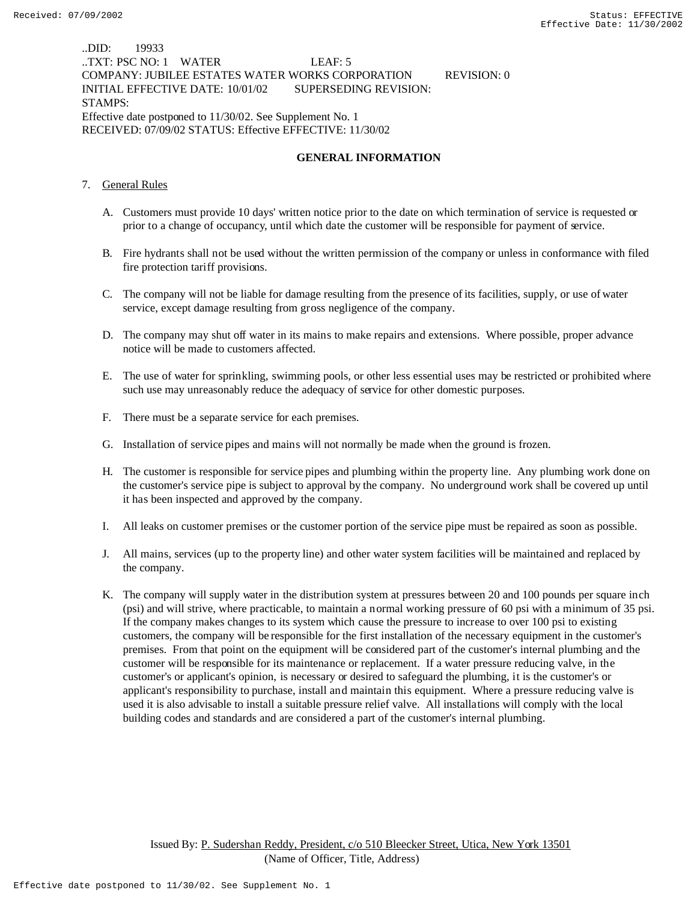..DID: 19933 ..TXT: PSC NO: 1 WATER LEAF: 5 COMPANY: JUBILEE ESTATES WATER WORKS CORPORATION REVISION: 0 INITIAL EFFECTIVE DATE: 10/01/02 SUPERSEDING REVISION: STAMPS: Effective date postponed to 11/30/02. See Supplement No. 1 RECEIVED: 07/09/02 STATUS: Effective EFFECTIVE: 11/30/02

### **GENERAL INFORMATION**

- 7. General Rules
	- A. Customers must provide 10 days' written notice prior to the date on which termination of service is requested or prior to a change of occupancy, until which date the customer will be responsible for payment of service.
	- B. Fire hydrants shall not be used without the written permission of the company or unless in conformance with filed fire protection tariff provisions.
	- C. The company will not be liable for damage resulting from the presence of its facilities, supply, or use of water service, except damage resulting from gross negligence of the company.
	- D. The company may shut off water in its mains to make repairs and extensions. Where possible, proper advance notice will be made to customers affected.
	- E. The use of water for sprinkling, swimming pools, or other less essential uses may be restricted or prohibited where such use may unreasonably reduce the adequacy of service for other domestic purposes.
	- F. There must be a separate service for each premises.
	- G. Installation of service pipes and mains will not normally be made when the ground is frozen.
	- H. The customer is responsible for service pipes and plumbing within the property line. Any plumbing work done on the customer's service pipe is subject to approval by the company. No underground work shall be covered up until it has been inspected and approved by the company.
	- I. All leaks on customer premises or the customer portion of the service pipe must be repaired as soon as possible.
	- J. All mains, services (up to the property line) and other water system facilities will be maintained and replaced by the company.
	- K. The company will supply water in the distribution system at pressures between 20 and 100 pounds per square inch (psi) and will strive, where practicable, to maintain a normal working pressure of 60 psi with a minimum of 35 psi. If the company makes changes to its system which cause the pressure to increase to over 100 psi to existing customers, the company will be responsible for the first installation of the necessary equipment in the customer's premises. From that point on the equipment will be considered part of the customer's internal plumbing and the customer will be responsible for its maintenance or replacement. If a water pressure reducing valve, in the customer's or applicant's opinion, is necessary or desired to safeguard the plumbing, it is the customer's or applicant's responsibility to purchase, install and maintain this equipment. Where a pressure reducing valve is used it is also advisable to install a suitable pressure relief valve. All installations will comply with the local building codes and standards and are considered a part of the customer's internal plumbing.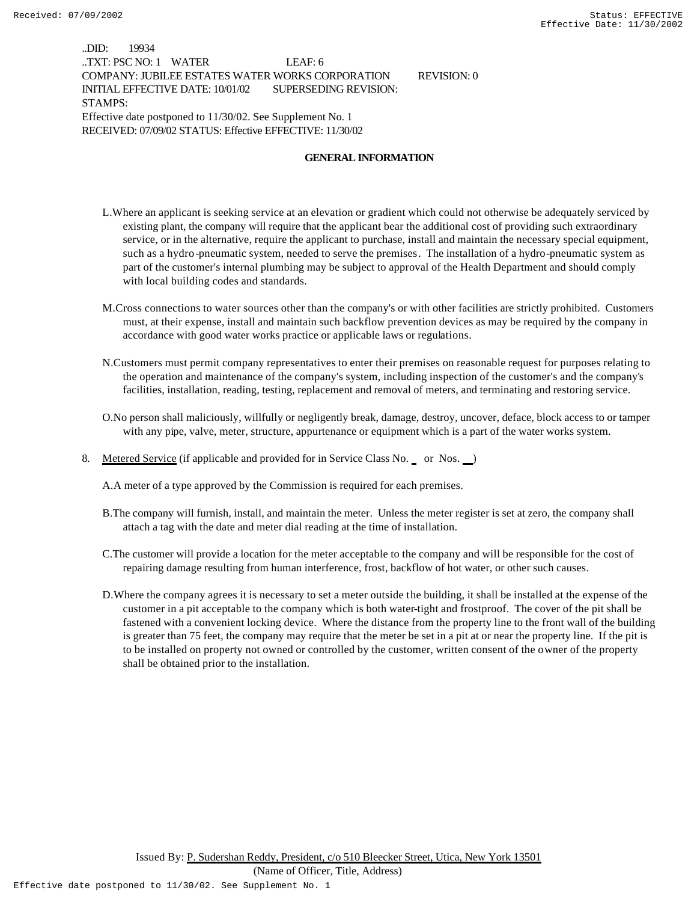..DID: 19934 ..TXT: PSC NO: 1 WATER LEAF: 6 COMPANY: JUBILEE ESTATES WATER WORKS CORPORATION REVISION: 0 INITIAL EFFECTIVE DATE: 10/01/02 SUPERSEDING REVISION: STAMPS: Effective date postponed to 11/30/02. See Supplement No. 1 RECEIVED: 07/09/02 STATUS: Effective EFFECTIVE: 11/30/02

#### **GENERAL INFORMATION**

- L.Where an applicant is seeking service at an elevation or gradient which could not otherwise be adequately serviced by existing plant, the company will require that the applicant bear the additional cost of providing such extraordinary service, or in the alternative, require the applicant to purchase, install and maintain the necessary special equipment, such as a hydro-pneumatic system, needed to serve the premises. The installation of a hydro-pneumatic system as part of the customer's internal plumbing may be subject to approval of the Health Department and should comply with local building codes and standards.
- M.Cross connections to water sources other than the company's or with other facilities are strictly prohibited. Customers must, at their expense, install and maintain such backflow prevention devices as may be required by the company in accordance with good water works practice or applicable laws or regulations.
- N.Customers must permit company representatives to enter their premises on reasonable request for purposes relating to the operation and maintenance of the company's system, including inspection of the customer's and the company's facilities, installation, reading, testing, replacement and removal of meters, and terminating and restoring service.
- O.No person shall maliciously, willfully or negligently break, damage, destroy, uncover, deface, block access to or tamper with any pipe, valve, meter, structure, appurtenance or equipment which is a part of the water works system.
- 8. Metered Service (if applicable and provided for in Service Class No. \_ or Nos. \_)

A.A meter of a type approved by the Commission is required for each premises.

- B.The company will furnish, install, and maintain the meter. Unless the meter register is set at zero, the company shall attach a tag with the date and meter dial reading at the time of installation.
- C.The customer will provide a location for the meter acceptable to the company and will be responsible for the cost of repairing damage resulting from human interference, frost, backflow of hot water, or other such causes.
- D.Where the company agrees it is necessary to set a meter outside the building, it shall be installed at the expense of the customer in a pit acceptable to the company which is both water-tight and frostproof. The cover of the pit shall be fastened with a convenient locking device. Where the distance from the property line to the front wall of the building is greater than 75 feet, the company may require that the meter be set in a pit at or near the property line. If the pit is to be installed on property not owned or controlled by the customer, written consent of the owner of the property shall be obtained prior to the installation.

Issued By: P. Sudershan Reddy, President, c/o 510 Bleecker Street, Utica, New York 13501

(Name of Officer, Title, Address)

Effective date postponed to 11/30/02. See Supplement No. 1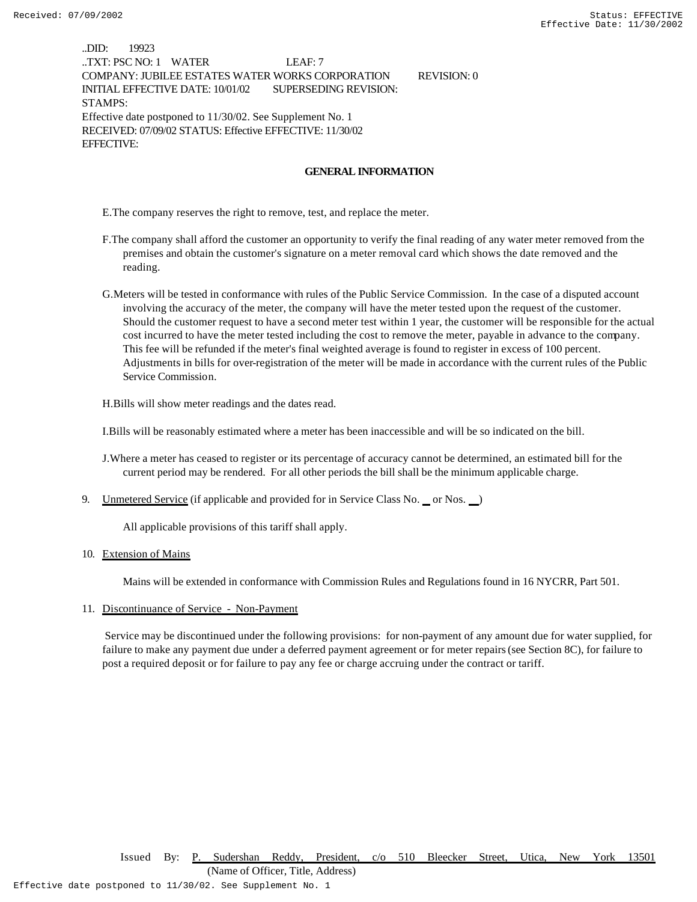..DID: 19923 ..TXT: PSC NO: 1 WATER LEAF: 7 COMPANY: JUBILEE ESTATES WATER WORKS CORPORATION REVISION: 0 INITIAL EFFECTIVE DATE: 10/01/02 SUPERSEDING REVISION: STAMPS: Effective date postponed to 11/30/02. See Supplement No. 1 RECEIVED: 07/09/02 STATUS: Effective EFFECTIVE: 11/30/02 EFFECTIVE:

#### **GENERAL INFORMATION**

E.The company reserves the right to remove, test, and replace the meter.

- F.The company shall afford the customer an opportunity to verify the final reading of any water meter removed from the premises and obtain the customer's signature on a meter removal card which shows the date removed and the reading.
- G.Meters will be tested in conformance with rules of the Public Service Commission. In the case of a disputed account involving the accuracy of the meter, the company will have the meter tested upon the request of the customer. Should the customer request to have a second meter test within 1 year, the customer will be responsible for the actual cost incurred to have the meter tested including the cost to remove the meter, payable in advance to the company. This fee will be refunded if the meter's final weighted average is found to register in excess of 100 percent. Adjustments in bills for over-registration of the meter will be made in accordance with the current rules of the Public Service Commission.

H.Bills will show meter readings and the dates read.

I.Bills will be reasonably estimated where a meter has been inaccessible and will be so indicated on the bill.

- J.Where a meter has ceased to register or its percentage of accuracy cannot be determined, an estimated bill for the current period may be rendered. For all other periods the bill shall be the minimum applicable charge.
- 9. Unmetered Service (if applicable and provided for in Service Class No. \_ or Nos. )

All applicable provisions of this tariff shall apply.

#### 10. Extension of Mains

Mains will be extended in conformance with Commission Rules and Regulations found in 16 NYCRR, Part 501.

11. Discontinuance of Service - Non-Payment

 Service may be discontinued under the following provisions: for non-payment of any amount due for water supplied, for failure to make any payment due under a deferred payment agreement or for meter repairs (see Section 8C), for failure to post a required deposit or for failure to pay any fee or charge accruing under the contract or tariff.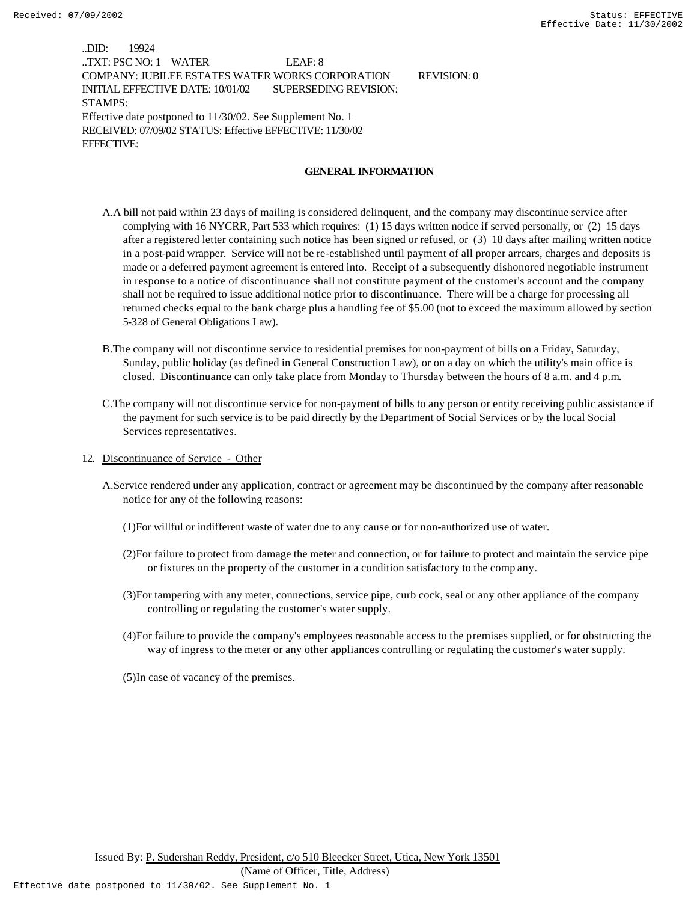..DID: 19924 ..TXT: PSC NO: 1 WATER LEAF: 8 COMPANY: JUBILEE ESTATES WATER WORKS CORPORATION REVISION: 0 INITIAL EFFECTIVE DATE: 10/01/02 SUPERSEDING REVISION: STAMPS: Effective date postponed to 11/30/02. See Supplement No. 1 RECEIVED: 07/09/02 STATUS: Effective EFFECTIVE: 11/30/02 EFFECTIVE:

#### **GENERAL INFORMATION**

- A.A bill not paid within 23 days of mailing is considered delinquent, and the company may discontinue service after complying with 16 NYCRR, Part 533 which requires: (1) 15 days written notice if served personally, or (2) 15 days after a registered letter containing such notice has been signed or refused, or (3) 18 days after mailing written notice in a post-paid wrapper. Service will not be re-established until payment of all proper arrears, charges and deposits is made or a deferred payment agreement is entered into. Receipt of a subsequently dishonored negotiable instrument in response to a notice of discontinuance shall not constitute payment of the customer's account and the company shall not be required to issue additional notice prior to discontinuance. There will be a charge for processing all returned checks equal to the bank charge plus a handling fee of \$5.00 (not to exceed the maximum allowed by section 5-328 of General Obligations Law).
- B.The company will not discontinue service to residential premises for non-payment of bills on a Friday, Saturday, Sunday, public holiday (as defined in General Construction Law), or on a day on which the utility's main office is closed. Discontinuance can only take place from Monday to Thursday between the hours of 8 a.m. and 4 p.m.
- C.The company will not discontinue service for non-payment of bills to any person or entity receiving public assistance if the payment for such service is to be paid directly by the Department of Social Services or by the local Social Services representatives.
- 12. Discontinuance of Service Other
	- A.Service rendered under any application, contract or agreement may be discontinued by the company after reasonable notice for any of the following reasons:
		- (1)For willful or indifferent waste of water due to any cause or for non-authorized use of water.
		- (2)For failure to protect from damage the meter and connection, or for failure to protect and maintain the service pipe or fixtures on the property of the customer in a condition satisfactory to the comp any.
		- (3)For tampering with any meter, connections, service pipe, curb cock, seal or any other appliance of the company controlling or regulating the customer's water supply.
		- (4)For failure to provide the company's employees reasonable access to the premises supplied, or for obstructing the way of ingress to the meter or any other appliances controlling or regulating the customer's water supply.
		- (5)In case of vacancy of the premises.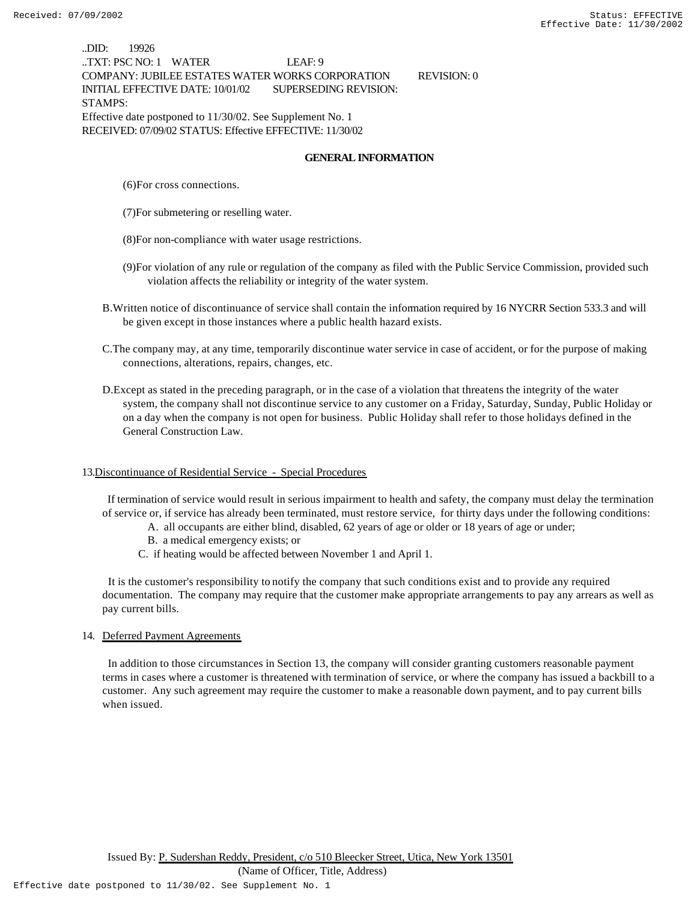..DID: 19926 ..TXT: PSC NO: 1 WATER LEAF: 9 COMPANY: JUBILEE ESTATES WATER WORKS CORPORATION REVISION: 0 INITIAL EFFECTIVE DATE: 10/01/02 SUPERSEDING REVISION: STAMPS: Effective date postponed to 11/30/02. See Supplement No. 1 RECEIVED: 07/09/02 STATUS: Effective EFFECTIVE: 11/30/02

#### **GENERAL INFORMATION**

- (6)For cross connections.
- (7)For submetering or reselling water.
- (8)For non-compliance with water usage restrictions.
- (9)For violation of any rule or regulation of the company as filed with the Public Service Commission, provided such violation affects the reliability or integrity of the water system.
- B.Written notice of discontinuance of service shall contain the information required by 16 NYCRR Section 533.3 and will be given except in those instances where a public health hazard exists.
- C.The company may, at any time, temporarily discontinue water service in case of accident, or for the purpose of making connections, alterations, repairs, changes, etc.
- D.Except as stated in the preceding paragraph, or in the case of a violation that threatens the integrity of the water system, the company shall not discontinue service to any customer on a Friday, Saturday, Sunday, Public Holiday or on a day when the company is not open for business. Public Holiday shall refer to those holidays defined in the General Construction Law.

#### 13.Discontinuance of Residential Service - Special Procedures

 If termination of service would result in serious impairment to health and safety, the company must delay the termination of service or, if service has already been terminated, must restore service, for thirty days under the following conditions:

- A. all occupants are either blind, disabled, 62 years of age or older or 18 years of age or under;
- B. a medical emergency exists; or
- C. if heating would be affected between November 1 and April 1.

 It is the customer's responsibility to notify the company that such conditions exist and to provide any required documentation. The company may require that the customer make appropriate arrangements to pay any arrears as well as pay current bills.

#### 14. Deferred Payment Agreements

 In addition to those circumstances in Section 13, the company will consider granting customers reasonable payment terms in cases where a customer is threatened with termination of service, or where the company has issued a backbill to a customer. Any such agreement may require the customer to make a reasonable down payment, and to pay current bills when issued.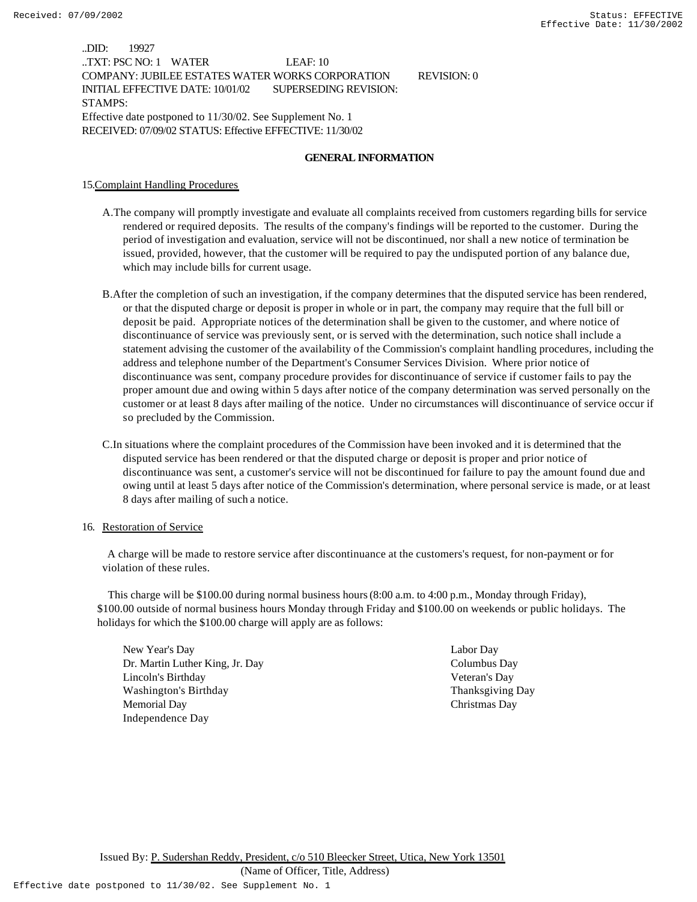..DID: 19927 ..TXT: PSC NO: 1 WATER LEAF: 10 COMPANY: JUBILEE ESTATES WATER WORKS CORPORATION REVISION: 0 INITIAL EFFECTIVE DATE: 10/01/02 SUPERSEDING REVISION: STAMPS: Effective date postponed to 11/30/02. See Supplement No. 1 RECEIVED: 07/09/02 STATUS: Effective EFFECTIVE: 11/30/02

#### **GENERAL INFORMATION**

15.Complaint Handling Procedures

- A.The company will promptly investigate and evaluate all complaints received from customers regarding bills for service rendered or required deposits. The results of the company's findings will be reported to the customer. During the period of investigation and evaluation, service will not be discontinued, nor shall a new notice of termination be issued, provided, however, that the customer will be required to pay the undisputed portion of any balance due, which may include bills for current usage.
- B.After the completion of such an investigation, if the company determines that the disputed service has been rendered, or that the disputed charge or deposit is proper in whole or in part, the company may require that the full bill or deposit be paid. Appropriate notices of the determination shall be given to the customer, and where notice of discontinuance of service was previously sent, or is served with the determination, such notice shall include a statement advising the customer of the availability of the Commission's complaint handling procedures, including the address and telephone number of the Department's Consumer Services Division. Where prior notice of discontinuance was sent, company procedure provides for discontinuance of service if customer fails to pay the proper amount due and owing within 5 days after notice of the company determination was served personally on the customer or at least 8 days after mailing of the notice. Under no circumstances will discontinuance of service occur if so precluded by the Commission.
- C.In situations where the complaint procedures of the Commission have been invoked and it is determined that the disputed service has been rendered or that the disputed charge or deposit is proper and prior notice of discontinuance was sent, a customer's service will not be discontinued for failure to pay the amount found due and owing until at least 5 days after notice of the Commission's determination, where personal service is made, or at least 8 days after mailing of such a notice.

#### 16. Restoration of Service

 A charge will be made to restore service after discontinuance at the customers's request, for non-payment or for violation of these rules.

 This charge will be \$100.00 during normal business hours (8:00 a.m. to 4:00 p.m., Monday through Friday), \$100.00 outside of normal business hours Monday through Friday and \$100.00 on weekends or public holidays. The holidays for which the \$100.00 charge will apply are as follows:

New Year's Day Labor Day Dr. Martin Luther King, Jr. Day Columbus Day Lincoln's Birthday Veteran's Day Washington's Birthday Thanksgiving Day Memorial Day Christmas Day Independence Day

Issued By: P. Sudershan Reddy, President, c/o 510 Bleecker Street, Utica, New York 13501

(Name of Officer, Title, Address)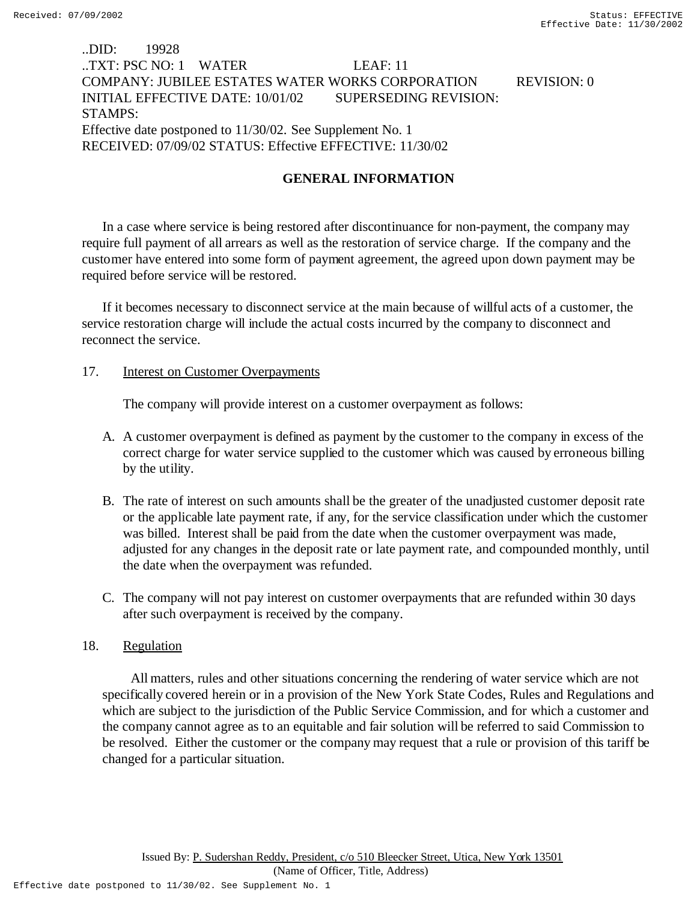# ..DID: 19928 ..TXT: PSC NO: 1 WATER LEAF: 11 COMPANY: JUBILEE ESTATES WATER WORKS CORPORATION REVISION: 0 INITIAL EFFECTIVE DATE: 10/01/02 SUPERSEDING REVISION: STAMPS: Effective date postponed to 11/30/02. See Supplement No. 1 RECEIVED: 07/09/02 STATUS: Effective EFFECTIVE: 11/30/02

# **GENERAL INFORMATION**

In a case where service is being restored after discontinuance for non-payment, the company may require full payment of all arrears as well as the restoration of service charge. If the company and the customer have entered into some form of payment agreement, the agreed upon down payment may be required before service will be restored.

If it becomes necessary to disconnect service at the main because of willful acts of a customer, the service restoration charge will include the actual costs incurred by the company to disconnect and reconnect the service.

## 17. **Interest on Customer Overpayments**

The company will provide interest on a customer overpayment as follows:

- A. A customer overpayment is defined as payment by the customer to the company in excess of the correct charge for water service supplied to the customer which was caused by erroneous billing by the utility.
- B. The rate of interest on such amounts shall be the greater of the unadjusted customer deposit rate or the applicable late payment rate, if any, for the service classification under which the customer was billed. Interest shall be paid from the date when the customer overpayment was made, adjusted for any changes in the deposit rate or late payment rate, and compounded monthly, until the date when the overpayment was refunded.
- C. The company will not pay interest on customer overpayments that are refunded within 30 days after such overpayment is received by the company.

## 18. Regulation

 All matters, rules and other situations concerning the rendering of water service which are not specifically covered herein or in a provision of the New York State Codes, Rules and Regulations and which are subject to the jurisdiction of the Public Service Commission, and for which a customer and the company cannot agree as to an equitable and fair solution will be referred to said Commission to be resolved. Either the customer or the company may request that a rule or provision of this tariff be changed for a particular situation.

(Name of Officer, Title, Address)

Effective date postponed to 11/30/02. See Supplement No. 1